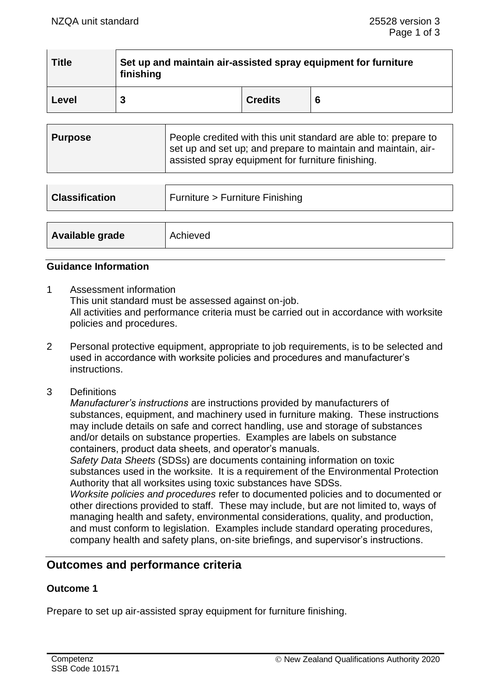| <b>Title</b> | Set up and maintain air-assisted spray equipment for furniture<br>finishing |                |  |
|--------------|-----------------------------------------------------------------------------|----------------|--|
| Level        |                                                                             | <b>Credits</b> |  |

| Purpose | People credited with this unit standard are able to: prepare to<br>set up and set up; and prepare to maintain and maintain, air-<br>assisted spray equipment for furniture finishing. |
|---------|---------------------------------------------------------------------------------------------------------------------------------------------------------------------------------------|
|         |                                                                                                                                                                                       |

| <b>Classification</b> | Furniture > Furniture Finishing |
|-----------------------|---------------------------------|
|                       |                                 |
| Available grade       | Achieved                        |

### **Guidance Information**

- 1 Assessment information This unit standard must be assessed against on-job. All activities and performance criteria must be carried out in accordance with worksite policies and procedures.
- 2 Personal protective equipment, appropriate to job requirements, is to be selected and used in accordance with worksite policies and procedures and manufacturer's instructions.
- 3 Definitions

*Manufacturer's instructions* are instructions provided by manufacturers of substances, equipment, and machinery used in furniture making. These instructions may include details on safe and correct handling, use and storage of substances and/or details on substance properties. Examples are labels on substance containers, product data sheets, and operator's manuals.

*Safety Data Sheets* (SDSs) are documents containing information on toxic substances used in the worksite. It is a requirement of the Environmental Protection Authority that all worksites using toxic substances have SDSs.

*Worksite policies and procedures* refer to documented policies and to documented or other directions provided to staff. These may include, but are not limited to, ways of managing health and safety, environmental considerations, quality, and production, and must conform to legislation. Examples include standard operating procedures, company health and safety plans, on-site briefings, and supervisor's instructions.

## **Outcomes and performance criteria**

## **Outcome 1**

Prepare to set up air-assisted spray equipment for furniture finishing.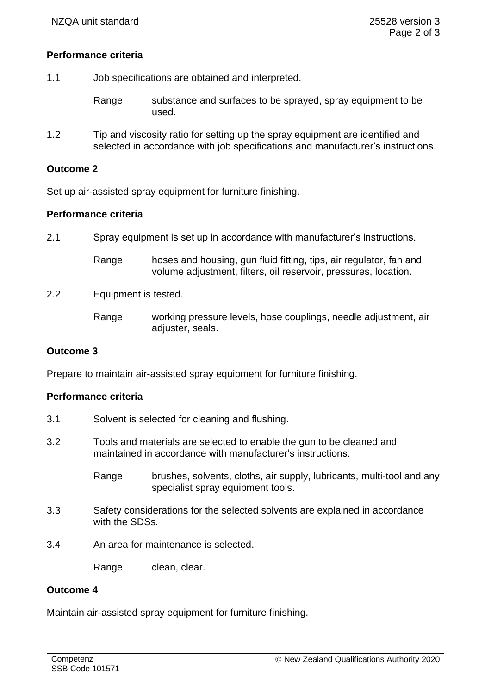## **Performance criteria**

- 1.1 Job specifications are obtained and interpreted.
	- Range substance and surfaces to be sprayed, spray equipment to be used.
- 1.2 Tip and viscosity ratio for setting up the spray equipment are identified and selected in accordance with job specifications and manufacturer's instructions.

## **Outcome 2**

Set up air-assisted spray equipment for furniture finishing.

# **Performance criteria**

2.1 Spray equipment is set up in accordance with manufacturer's instructions.

| Range | hoses and housing, gun fluid fitting, tips, air regulator, fan and |
|-------|--------------------------------------------------------------------|
|       | volume adjustment, filters, oil reservoir, pressures, location.    |

2.2 Equipment is tested.

Range working pressure levels, hose couplings, needle adjustment, air adjuster, seals.

## **Outcome 3**

Prepare to maintain air-assisted spray equipment for furniture finishing.

## **Performance criteria**

- 3.1 Solvent is selected for cleaning and flushing.
- 3.2 Tools and materials are selected to enable the gun to be cleaned and maintained in accordance with manufacturer's instructions.
	- Range brushes, solvents, cloths, air supply, lubricants, multi-tool and any specialist spray equipment tools.
- 3.3 Safety considerations for the selected solvents are explained in accordance with the SDSs.
- 3.4 An area for maintenance is selected.

Range clean, clear.

## **Outcome 4**

Maintain air-assisted spray equipment for furniture finishing.